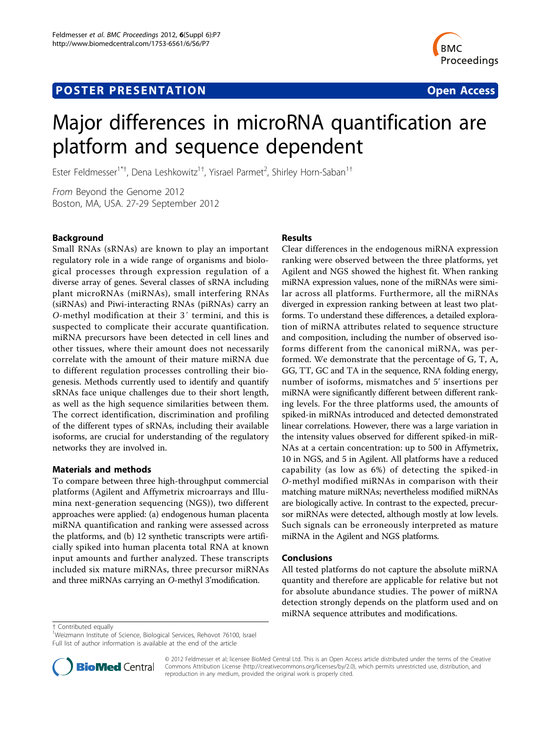## **POSTER PRESENTATION CONSUMING THE SERVICE SERVICE SERVICES**



# Major differences in microRNA quantification are platform and sequence dependent

Ester Feldmesser<sup>1\*†</sup>, Dena Leshkowitz<sup>1†</sup>, Yisrael Parmet<sup>2</sup>, Shirley Horn-Saban<sup>1†</sup>

From Beyond the Genome 2012 Boston, MA, USA. 27-29 September 2012

#### Background

Small RNAs (sRNAs) are known to play an important regulatory role in a wide range of organisms and biological processes through expression regulation of a diverse array of genes. Several classes of sRNA including plant microRNAs (miRNAs), small interfering RNAs (siRNAs) and Piwi-interacting RNAs (piRNAs) carry an O-methyl modification at their 3´ termini, and this is suspected to complicate their accurate quantification. miRNA precursors have been detected in cell lines and other tissues, where their amount does not necessarily correlate with the amount of their mature miRNA due to different regulation processes controlling their biogenesis. Methods currently used to identify and quantify sRNAs face unique challenges due to their short length, as well as the high sequence similarities between them. The correct identification, discrimination and profiling of the different types of sRNAs, including their available isoforms, are crucial for understanding of the regulatory networks they are involved in.

### Materials and methods

To compare between three high-throughput commercial platforms (Agilent and Affymetrix microarrays and Illumina next-generation sequencing (NGS)), two different approaches were applied: (a) endogenous human placenta miRNA quantification and ranking were assessed across the platforms, and (b) 12 synthetic transcripts were artificially spiked into human placenta total RNA at known input amounts and further analyzed. These transcripts included six mature miRNAs, three precursor miRNAs and three miRNAs carrying an O-methyl 3'modification.

#### Results

Clear differences in the endogenous miRNA expression ranking were observed between the three platforms, yet Agilent and NGS showed the highest fit. When ranking miRNA expression values, none of the miRNAs were similar across all platforms. Furthermore, all the miRNAs diverged in expression ranking between at least two platforms. To understand these differences, a detailed exploration of miRNA attributes related to sequence structure and composition, including the number of observed isoforms different from the canonical miRNA, was performed. We demonstrate that the percentage of G, T, A, GG, TT, GC and TA in the sequence, RNA folding energy, number of isoforms, mismatches and 5' insertions per miRNA were significantly different between different ranking levels. For the three platforms used, the amounts of spiked-in miRNAs introduced and detected demonstrated linear correlations. However, there was a large variation in the intensity values observed for different spiked-in miR-NAs at a certain concentration: up to 500 in Affymetrix, 10 in NGS, and 5 in Agilent. All platforms have a reduced capability (as low as 6%) of detecting the spiked-in O-methyl modified miRNAs in comparison with their matching mature miRNAs; nevertheless modified miRNAs are biologically active. In contrast to the expected, precursor miRNAs were detected, although mostly at low levels. Such signals can be erroneously interpreted as mature miRNA in the Agilent and NGS platforms.

#### Conclusions

All tested platforms do not capture the absolute miRNA quantity and therefore are applicable for relative but not for absolute abundance studies. The power of miRNA detection strongly depends on the platform used and on miRNA sequence attributes and modifications.

<sup>&</sup>lt;sup>1</sup>Weizmann Institute of Science, Biological Services, Rehovot 76100, Israel Full list of author information is available at the end of the article



© 2012 Feldmesser et al; licensee BioMed Central Ltd. This is an Open Access article distributed under the terms of the Creative Commons Attribution License [\(http://creativecommons.org/licenses/by/2.0](http://creativecommons.org/licenses/by/2.0)), which permits unrestricted use, distribution, and reproduction in any medium, provided the original work is properly cited.

<sup>†</sup> Contributed equally <sup>1</sup>